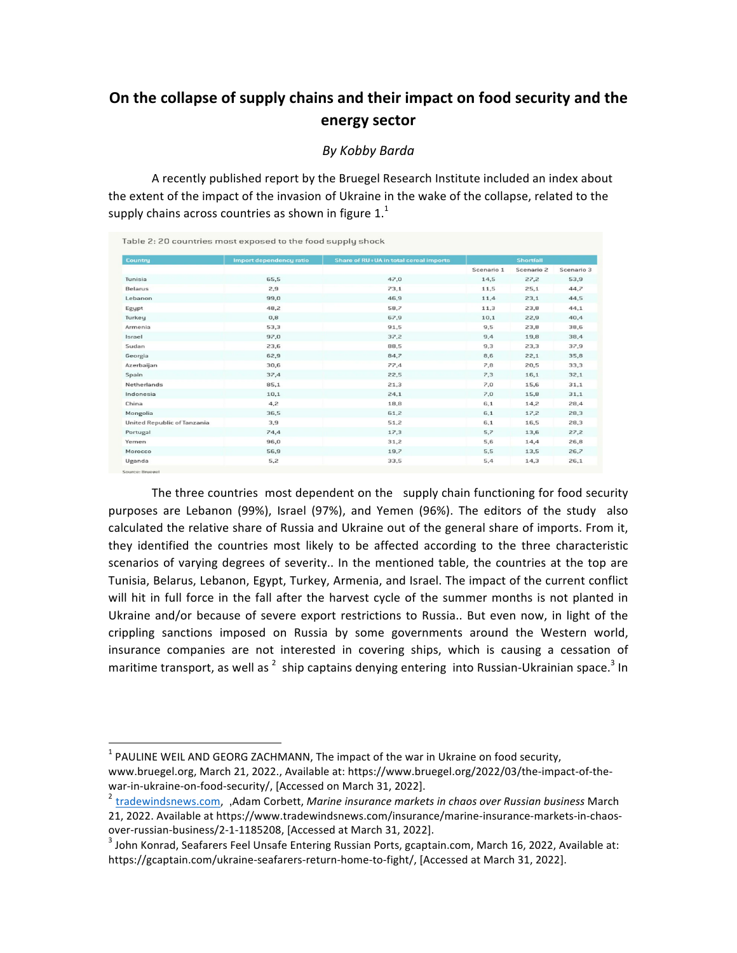## On the collapse of supply chains and their impact on food security and the **energy sector**

## *By Kobby Barda*

A recently published report by the Bruegel Research Institute included an index about the extent of the impact of the invasion of Ukraine in the wake of the collapse, related to the supply chains across countries as shown in figure  $1<sup>1</sup>$ 

| <b>Country</b>              | <b>Import dependency ratio</b> | Share of RU+UA in total cereal imports | <b>Shortfall</b> |            |            |
|-----------------------------|--------------------------------|----------------------------------------|------------------|------------|------------|
|                             |                                |                                        | Scenario 1       | Scenario 2 | Scenario 3 |
| Tunisia                     | 65,5                           | 47.0                                   | 14,5             | 27,2       | 53,9       |
| Belarus                     | 2,9                            | 73,1                                   | 11,5             | 25,1       | 44,7       |
| Lebanon                     | 99,0                           | 46,9                                   | 11,4             | 23,1       | 44,5       |
| Egypt                       | 48,2                           | 58,7                                   | 11,3             | 23,8       | 44,1       |
| Turkey                      | 0,8                            | 67,9                                   | 10,1             | 22,9       | 40,4       |
| Armenia                     | 53,3                           | 91,5                                   | 9,5              | 23,8       | 38,6       |
| Israel                      | 97,0                           | 37,2                                   | 9,4              | 19,8       | 38,4       |
| Sudan                       | 23,6                           | 88,5                                   | 9,3              | 23,3       | 37,9       |
| Georgia                     | 62,9                           | 84,7                                   | 8,6              | 22,1       | 35,8       |
| Azerbaijan                  | 30,6                           | 77,4                                   | 7,8              | 20,5       | 33,3       |
| Spain                       | 37,4                           | 22,5                                   | 7,3              | 16,1       | 32,1       |
| Netherlands                 | 85,1                           | 21,3                                   | 7,0              | 15,6       | 31,1       |
| Indonesia                   | 10,1                           | 24,1                                   | 7,0              | 15,8       | 31,1       |
| China                       | 4,2                            | 18,8                                   | 6,1              | 14,2       | 28,4       |
| Mongolia                    | 36,5                           | 61,2                                   | 6,1              | 17,2       | 28,3       |
| United Republic of Tanzania | 3,9                            | 51,2                                   | 6,1              | 16,5       | 28,3       |
| Portugal                    | 74,4                           | 17,3                                   | 5,7              | 13,6       | 27,2       |
| Yemen                       | 96,0                           | 31,2                                   | 5,6              | 14,4       | 26,8       |
| Morocco                     | 56,9                           | 19,7                                   | 5,5              | 13,5       | 26,7       |
| Uganda                      | 5,2                            | 33,5                                   | 5,4              | 14,3       | 26,1       |

The three countries most dependent on the supply chain functioning for food security purposes are Lebanon (99%), Israel (97%), and Yemen (96%). The editors of the study also calculated the relative share of Russia and Ukraine out of the general share of imports. From it, they identified the countries most likely to be affected according to the three characteristic scenarios of varying degrees of severity.. In the mentioned table, the countries at the top are Tunisia, Belarus, Lebanon, Egypt, Turkey, Armenia, and Israel. The impact of the current conflict will hit in full force in the fall after the harvest cycle of the summer months is not planted in Ukraine and/or because of severe export restrictions to Russia.. But even now, in light of the crippling sanctions imposed on Russia by some governments around the Western world, insurance companies are not interested in covering ships, which is causing a cessation of maritime transport, as well as  $^2$  ship captains denying entering into Russian-Ukrainian space.<sup>3</sup> In

 $1$  PAULINE WEIL AND GEORG ZACHMANN, The impact of the war in Ukraine on food security, www.bruegel.org, March 21, 2022., Available at: https://www.bruegel.org/2022/03/the-impact-of-the-

war-in-ukraine-on-food-security/, [Accessed on March 31, 2022].<br><sup>2</sup> tradewindsnews.com, ,Adam Corbett, *Marine insurance markets in chaos over Russian business* March 21, 2022. Available at https://www.tradewindsnews.com/insurance/marine-insurance-markets-in-chaos-

over-russian-business/2-1-1185208, [Accessed at March 31, 2022].<br><sup>3</sup> John Konrad, Seafarers Feel Unsafe Entering Russian Ports, gcaptain.com, March 16, 2022, Available at: https://gcaptain.com/ukraine-seafarers-return-home-to-fight/, [Accessed at March 31, 2022].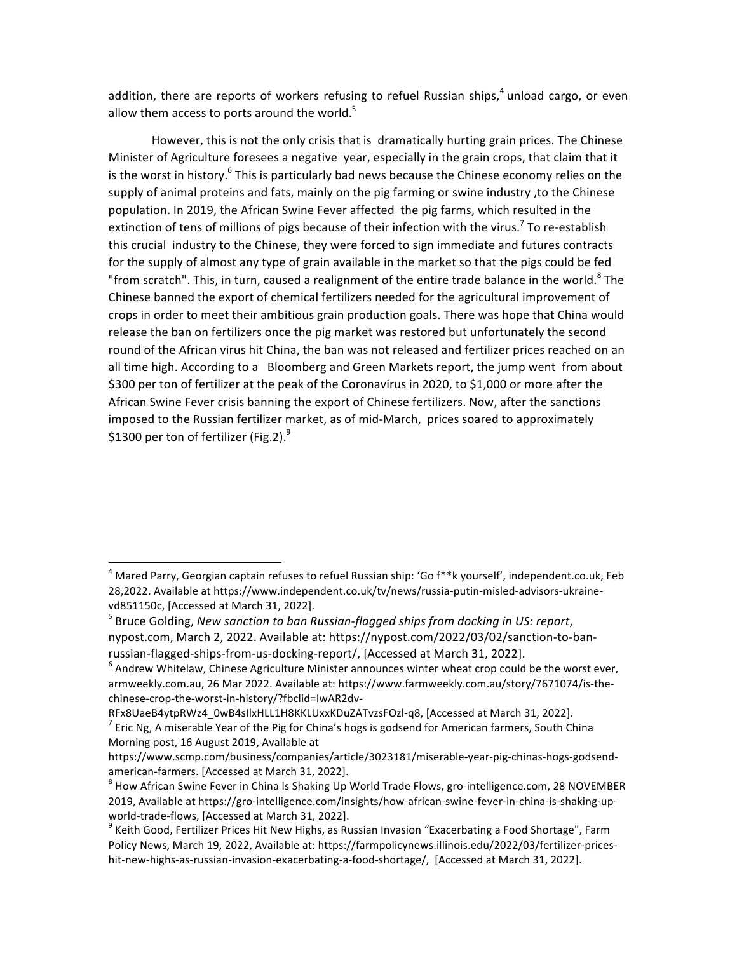addition, there are reports of workers refusing to refuel Russian ships, $4$  unload cargo, or even allow them access to ports around the world. $5$ 

However, this is not the only crisis that is dramatically hurting grain prices. The Chinese Minister of Agriculture foresees a negative year, especially in the grain crops, that claim that it is the worst in history.<sup>6</sup> This is particularly bad news because the Chinese economy relies on the supply of animal proteins and fats, mainly on the pig farming or swine industry, to the Chinese population. In 2019, the African Swine Fever affected the pig farms, which resulted in the extinction of tens of millions of pigs because of their infection with the virus.<sup>7</sup> To re-establish this crucial industry to the Chinese, they were forced to sign immediate and futures contracts for the supply of almost any type of grain available in the market so that the pigs could be fed "from scratch". This, in turn, caused a realignment of the entire trade balance in the world.<sup>8</sup> The Chinese banned the export of chemical fertilizers needed for the agricultural improvement of crops in order to meet their ambitious grain production goals. There was hope that China would release the ban on fertilizers once the pig market was restored but unfortunately the second round of the African virus hit China, the ban was not released and fertilizer prices reached on an all time high. According to a Bloomberg and Green Markets report, the jump went from about \$300 per ton of fertilizer at the peak of the Coronavirus in 2020, to \$1,000 or more after the African Swine Fever crisis banning the export of Chinese fertilizers. Now, after the sanctions imposed to the Russian fertilizer market, as of mid-March, prices soared to approximately \$1300 per ton of fertilizer (Fig.2). $^9$ 

<sup>&</sup>lt;sup>4</sup> Mared Parry, Georgian captain refuses to refuel Russian ship: 'Go f\*\*k yourself', independent.co.uk, Feb 28,2022. Available at https://www.independent.co.uk/tv/news/russia-putin-misled-advisors-ukrainevd851150c, [Accessed at March 31, 2022].

<sup>&</sup>lt;sup>5</sup> Bruce Golding, New sanction to ban Russian-flagged ships from docking in US: report, nypost.com, March 2, 2022. Available at: https://nypost.com/2022/03/02/sanction-to-banrussian-flagged-ships-from-us-docking-report/, [Accessed at March 31, 2022].

 $^6$  Andrew Whitelaw, Chinese Agriculture Minister announces winter wheat crop could be the worst ever, armweekly.com.au, 26 Mar 2022. Available at: https://www.farmweekly.com.au/story/7671074/is-thechinese-crop-the-worst-in-history/?fbclid=IwAR2dv-

RFx8UaeB4ytpRWz4\_0wB4sIlxHLL1H8KKLUxxKDuZATvzsFOzl-q8, [Accessed at March 31, 2022].<br><sup>7</sup> Eric Ng, A miserable Year of the Pig for China's hogs is godsend for American farmers, South China Morning post, 16 August 2019, Available at

https://www.scmp.com/business/companies/article/3023181/miserable-year-pig-chinas-hogs-godsend-

american-farmers. [Accessed at March 31, 2022].<br><sup>8</sup> How African Swine Fever in China Is Shaking Up World Trade Flows, gro-intelligence.com, 28 NOVEMBER 2019, Available at https://gro-intelligence.com/insights/how-african-swine-fever-in-china-is-shaking-upworld-trade-flows, [Accessed at March 31, 2022].<br><sup>9</sup> Keith Good, Fertilizer Prices Hit New Highs, as Russian Invasion "Exacerbating a Food Shortage", Farm

Policy News, March 19, 2022, Available at: https://farmpolicynews.illinois.edu/2022/03/fertilizer-priceshit-new-highs-as-russian-invasion-exacerbating-a-food-shortage/, [Accessed at March 31, 2022].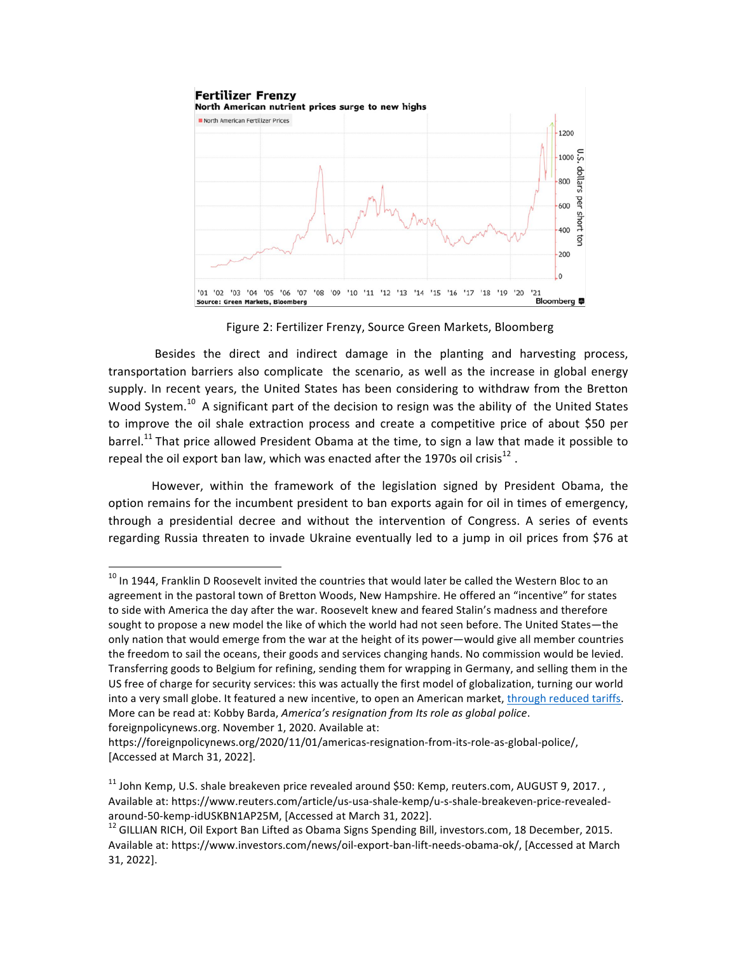

Figure 2: Fertilizer Frenzy, Source Green Markets, Bloomberg

Besides the direct and indirect damage in the planting and harvesting process, transportation barriers also complicate the scenario, as well as the increase in global energy supply. In recent years, the United States has been considering to withdraw from the Bretton Wood System.<sup>10</sup> A significant part of the decision to resign was the ability of the United States to improve the oil shale extraction process and create a competitive price of about \$50 per barrel.<sup>11</sup> That price allowed President Obama at the time, to sign a law that made it possible to repeal the oil export ban law, which was enacted after the 1970s oil crisis<sup>12</sup>.

However, within the framework of the legislation signed by President Obama, the option remains for the incumbent president to ban exports again for oil in times of emergency, through a presidential decree and without the intervention of Congress. A series of events regarding Russia threaten to invade Ukraine eventually led to a jump in oil prices from \$76 at

 $10$  In 1944, Franklin D Roosevelt invited the countries that would later be called the Western Bloc to an agreement in the pastoral town of Bretton Woods, New Hampshire. He offered an "incentive" for states to side with America the day after the war. Roosevelt knew and feared Stalin's madness and therefore sought to propose a new model the like of which the world had not seen before. The United States—the only nation that would emerge from the war at the height of its power—would give all member countries the freedom to sail the oceans, their goods and services changing hands. No commission would be levied. Transferring goods to Belgium for refining, sending them for wrapping in Germany, and selling them in the US free of charge for security services: this was actually the first model of globalization, turning our world into a very small globe. It featured a new incentive, to open an American market, through reduced tariffs. More can be read at: Kobby Barda, *America's resignation from Its role as global police*. foreignpolicynews.org. November 1, 2020. Available at:

https://foreignpolicynews.org/2020/11/01/americas-resignation-from-its-role-as-global-police/, [Accessed at March 31, 2022].

 $11$  John Kemp, U.S. shale breakeven price revealed around \$50: Kemp, reuters.com, AUGUST 9, 2017., Available at: https://www.reuters.com/article/us-usa-shale-kemp/u-s-shale-breakeven-price-revealedaround-50-kemp-idUSKBN1AP25M, [Accessed at March 31, 2022].<br><sup>12</sup> GILLIAN RICH, Oil Export Ban Lifted as Obama Signs Spending Bill, investors.com, 18 December, 2015.

Available at: https://www.investors.com/news/oil-export-ban-lift-needs-obama-ok/, [Accessed at March 31, 2022].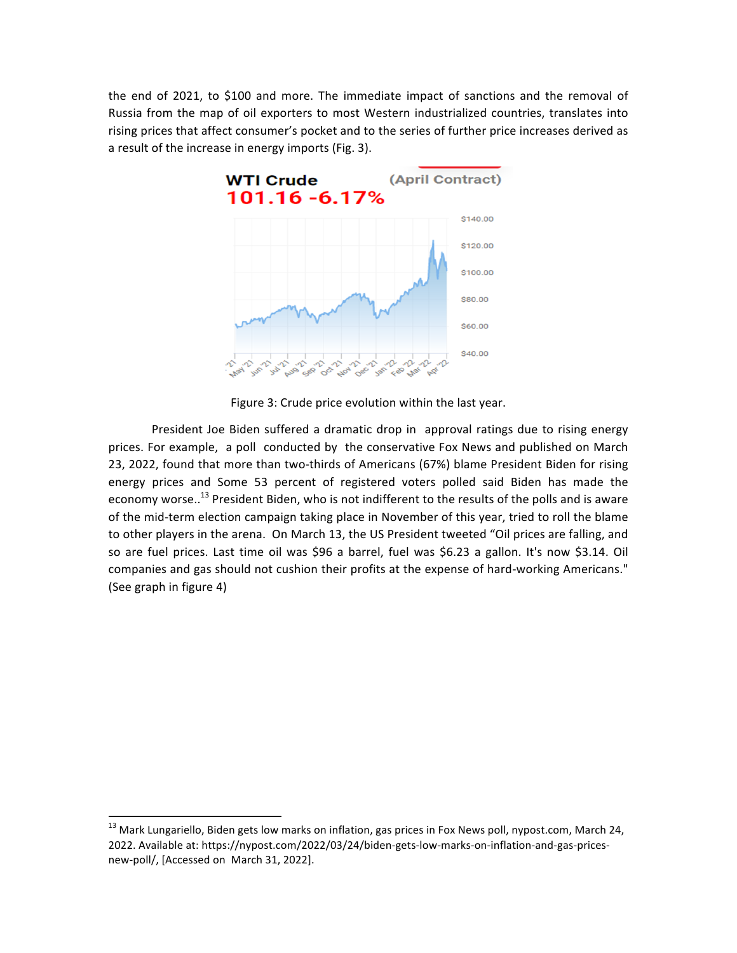the end of 2021, to \$100 and more. The immediate impact of sanctions and the removal of Russia from the map of oil exporters to most Western industrialized countries, translates into rising prices that affect consumer's pocket and to the series of further price increases derived as a result of the increase in energy imports (Fig. 3).



Figure 3: Crude price evolution within the last year.

President Joe Biden suffered a dramatic drop in approval ratings due to rising energy prices. For example, a poll conducted by the conservative Fox News and published on March 23, 2022, found that more than two-thirds of Americans (67%) blame President Biden for rising energy prices and Some 53 percent of registered voters polled said Biden has made the economy worse..<sup>13</sup> President Biden, who is not indifferent to the results of the polls and is aware of the mid-term election campaign taking place in November of this year, tried to roll the blame to other players in the arena. On March 13, the US President tweeted "Oil prices are falling, and so are fuel prices. Last time oil was \$96 a barrel, fuel was \$6.23 a gallon. It's now \$3.14. Oil companies and gas should not cushion their profits at the expense of hard-working Americans." (See graph in figure 4)

 $13$  Mark Lungariello, Biden gets low marks on inflation, gas prices in Fox News poll, nypost.com, March 24, 2022. Available at: https://nypost.com/2022/03/24/biden-gets-low-marks-on-inflation-and-gas-pricesnew-poll/, [Accessed on March 31, 2022].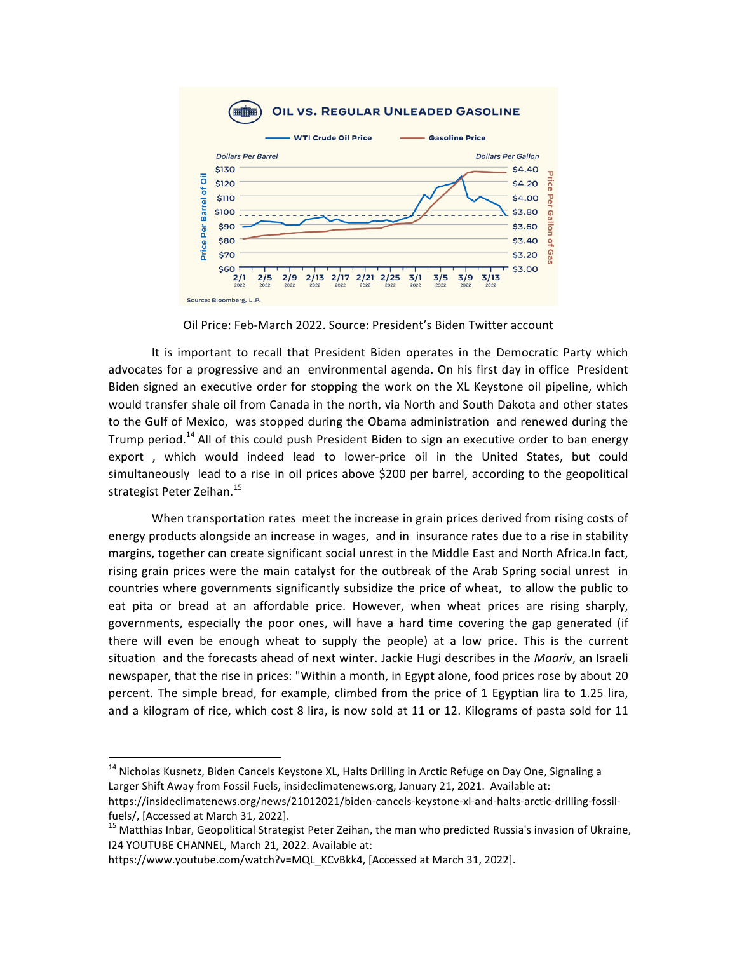

Oil Price: Feb-March 2022. Source: President's Biden Twitter account

It is important to recall that President Biden operates in the Democratic Party which advocates for a progressive and an environmental agenda. On his first day in office President Biden signed an executive order for stopping the work on the XL Keystone oil pipeline, which would transfer shale oil from Canada in the north, via North and South Dakota and other states to the Gulf of Mexico, was stopped during the Obama administration and renewed during the Trump period.<sup>14</sup> All of this could push President Biden to sign an executive order to ban energy export, which would indeed lead to lower-price oil in the United States, but could simultaneously lead to a rise in oil prices above \$200 per barrel, according to the geopolitical strategist Peter Zeihan.<sup>15</sup>

When transportation rates meet the increase in grain prices derived from rising costs of energy products alongside an increase in wages, and in insurance rates due to a rise in stability margins, together can create significant social unrest in the Middle East and North Africa. In fact, rising grain prices were the main catalyst for the outbreak of the Arab Spring social unrest in countries where governments significantly subsidize the price of wheat, to allow the public to eat pita or bread at an affordable price. However, when wheat prices are rising sharply, governments, especially the poor ones, will have a hard time covering the gap generated (if there will even be enough wheat to supply the people) at a low price. This is the current situation and the forecasts ahead of next winter. Jackie Hugi describes in the Maariv, an Israeli newspaper, that the rise in prices: "Within a month, in Egypt alone, food prices rose by about 20 percent. The simple bread, for example, climbed from the price of 1 Egyptian lira to 1.25 lira, and a kilogram of rice, which cost 8 lira, is now sold at 11 or 12. Kilograms of pasta sold for 11

<sup>&</sup>lt;sup>14</sup> Nicholas Kusnetz, Biden Cancels Keystone XL, Halts Drilling in Arctic Refuge on Day One, Signaling a Larger Shift Away from Fossil Fuels, insideclimatenews.org, January 21, 2021. Available at:

https://insideclimatenews.org/news/21012021/biden-cancels-keystone-xl-and-halts-arctic-drilling-fossilfuels/, [Accessed at March 31, 2022].

<sup>&</sup>lt;sup>15</sup> Matthias Inbar, Geopolitical Strategist Peter Zeihan, the man who predicted Russia's invasion of Ukraine, I24 YOUTUBE CHANNEL, March 21, 2022. Available at:

https://www.youtube.com/watch?v=MQL\_KCvBkk4, [Accessed at March 31, 2022].